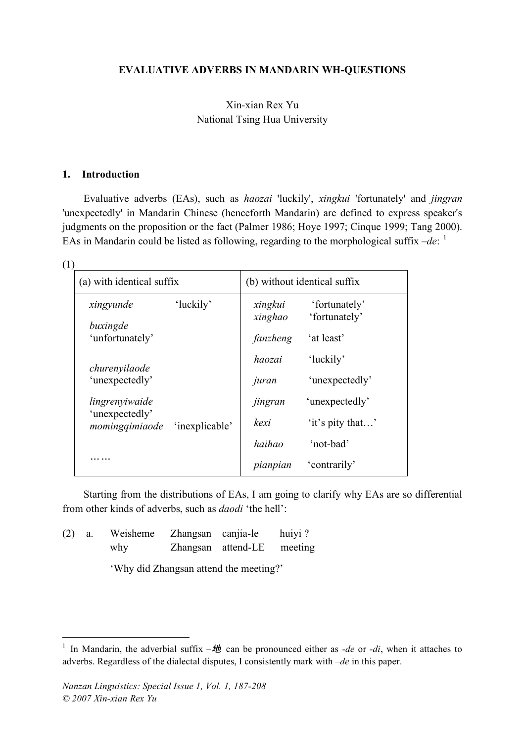#### **EVALUATIVE ADVERBS IN MANDARIN WH-QUESTIONS**

### Xin-xian Rex Yu National Tsing Hua University

#### **1. Introduction**

Evaluative adverbs (EAs), such as *haozai* 'luckily', *xingkui* 'fortunately' and *jingran* 'unexpectedly' in Mandarin Chinese (henceforth Mandarin) are defined to express speaker's judgments on the proposition or the fact (Palmer 1986; Hoye 1997; Cinque 1999; Tang 2000). EAs in Mandarin could be listed as following, regarding to the morphological suffix  $-de:$ <sup>1</sup>

| (a) with identical suffix        |                | (b) without identical suffix |                  |  |
|----------------------------------|----------------|------------------------------|------------------|--|
| xingyunde                        | 'luckily'      | xingkui                      | 'fortunately'    |  |
| buxingde                         |                | xinghao                      | 'fortunately'    |  |
| 'unfortunately'                  |                | fanzheng                     | 'at least'       |  |
| churenyilaode                    |                | haozai                       | 'luckily'        |  |
| 'unexpectedly'                   |                | juran                        | 'unexpectedly'   |  |
| lingrenyiwaide                   |                | jingran                      | 'unexpectedly'   |  |
| 'unexpectedly'<br>momingqimiaode | 'inexplicable' | kexi                         | 'it's pity that' |  |
|                                  |                | haihao                       | 'not-bad'        |  |
|                                  |                | pianpian                     | 'contrarily'     |  |

Starting from the distributions of EAs, I am going to clarify why EAs are so differential from other kinds of adverbs, such as *daodi* 'the hell':

(2) a. Weisheme Zhangsan canjia-le huiyi ? why Zhangsan attend-LE meeting

'Why did Zhangsan attend the meeting?'

<sup>&</sup>lt;sup>1</sup> In Mandarin, the adverbial suffix  $-\frac{1}{2}$  can be pronounced either as *-de* or *-di*, when it attaches to adverbs. Regardless of the dialectal disputes, I consistently mark with *–de* in this paper.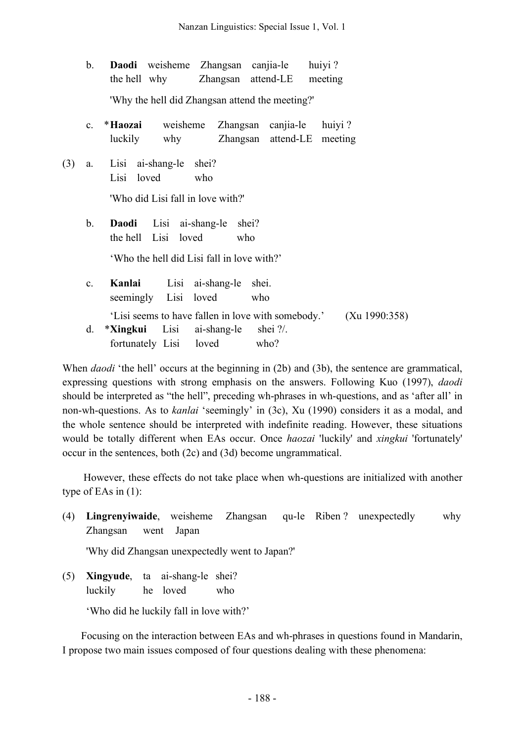|     | b.             | Daodi weisheme Zhangsan canjia-le huiyi?<br>the hell why Zhangsan attend-LE meeting                                                              |
|-----|----------------|--------------------------------------------------------------------------------------------------------------------------------------------------|
|     |                | 'Why the hell did Zhangsan attend the meeting?'                                                                                                  |
|     | $c_{-}$        | * <b>Haozai</b> weisheme Zhangsan canjia-le huiyi?<br>luckily why Zhangsan attend-LE meeting                                                     |
| (3) | a.             | Lisi ai-shang-le shei?<br>Lisi loved who<br>'Who did Lisi fall in love with?'                                                                    |
|     | b.             | Daodi Lisi ai-shang-le shei?<br>the hell Lisi loved<br>who<br>'Who the hell did Lisi fall in love with?'                                         |
|     | $\mathbf{c}$ . | Kanlai Lisi ai-shang-le shei.<br>seemingly Lisi loved who                                                                                        |
|     | d.             | 'Lisi seems to have fallen in love with somebody.' (Xu 1990:358)<br>* <b>Xingkui</b> Lisi ai-shang-le shei ?/.<br>fortunately Lisi loved<br>who? |

When *daodi* 'the hell' occurs at the beginning in (2b) and (3b), the sentence are grammatical, expressing questions with strong emphasis on the answers. Following Kuo (1997), *daodi* should be interpreted as "the hell", preceding wh-phrases in wh-questions, and as 'after all' in non-wh-questions. As to *kanlai* 'seemingly' in (3c), Xu (1990) considers it as a modal, and the whole sentence should be interpreted with indefinite reading. However, these situations would be totally different when EAs occur. Once *haozai* 'luckily' and *xingkui* 'fortunately' occur in the sentences, both (2c) and (3d) become ungrammatical.

However, these effects do not take place when wh-questions are initialized with another type of EAs in (1):

(4) **Lingrenyiwaide**, weisheme Zhangsan qu-le Riben ? unexpectedly why Zhangsan went Japan

'Why did Zhangsan unexpectedly went to Japan?'

(5) **Xingyude**, ta ai-shang-le shei? luckily he loved who

'Who did he luckily fall in love with?'

Focusing on the interaction between EAs and wh-phrases in questions found in Mandarin, I propose two main issues composed of four questions dealing with these phenomena: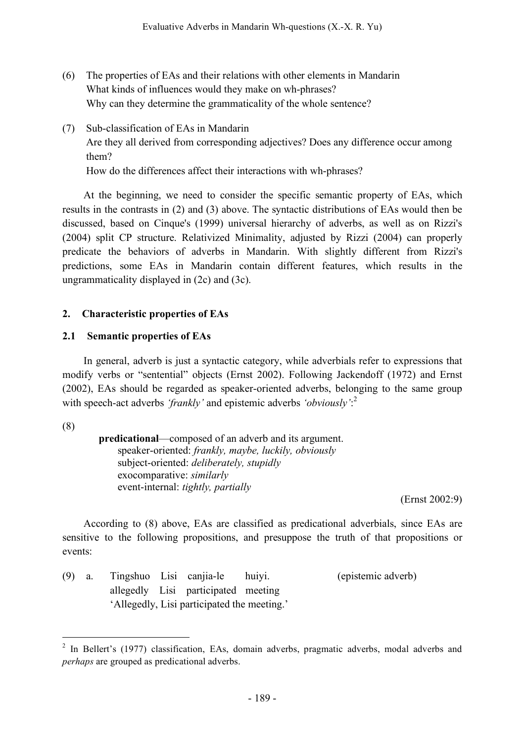- (6) The properties of EAs and their relations with other elements in Mandarin What kinds of influences would they make on wh-phrases? Why can they determine the grammaticality of the whole sentence?
- (7) Sub-classification of EAs in Mandarin Are they all derived from corresponding adjectives? Does any difference occur among them? How do the differences affect their interactions with wh-phrases?

At the beginning, we need to consider the specific semantic property of EAs, which results in the contrasts in (2) and (3) above. The syntactic distributions of EAs would then be discussed, based on Cinque's (1999) universal hierarchy of adverbs, as well as on Rizzi's (2004) split CP structure. Relativized Minimality, adjusted by Rizzi (2004) can properly predicate the behaviors of adverbs in Mandarin. With slightly different from Rizzi's predictions, some EAs in Mandarin contain different features, which results in the ungrammaticality displayed in (2c) and (3c).

# **2. Characteristic properties of EAs**

## **2.1 Semantic properties of EAs**

In general, adverb is just a syntactic category, while adverbials refer to expressions that modify verbs or "sentential" objects (Ernst 2002). Following Jackendoff (1972) and Ernst (2002), EAs should be regarded as speaker-oriented adverbs, belonging to the same group with speech-act adverbs *'frankly'* and epistemic adverbs *'obviously'*: 2

(8)

**predicational**—composed of an adverb and its argument. speaker-oriented: *frankly, maybe, luckily, obviously* subject-oriented: *deliberately, stupidly* exocomparative: *similarly* event-internal: *tightly, partially*

(Ernst 2002:9)

According to (8) above, EAs are classified as predicational adverbials, since EAs are sensitive to the following propositions, and presuppose the truth of that propositions or events:

(9) a. Tingshuo Lisi canjia-le huiyi. (epistemic adverb) allegedly Lisi participated meeting 'Allegedly, Lisi participated the meeting.'

<sup>&</sup>lt;sup>2</sup> In Bellert's (1977) classification, EAs, domain adverbs, pragmatic adverbs, modal adverbs and *perhaps* are grouped as predicational adverbs.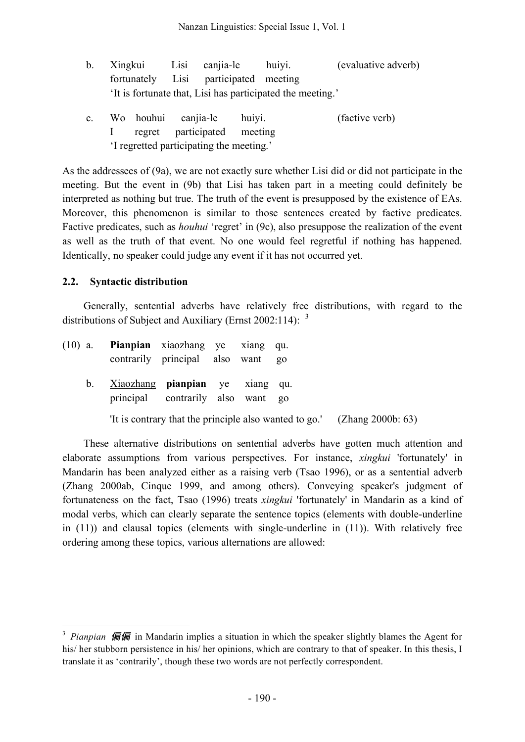- b. Xingkui Lisi canjia-le huiyi. (evaluative adverb) fortunately Lisi participated meeting 'It is fortunate that, Lisi has participated the meeting.'
- c. Wo houhui canjia-le huiyi. (factive verb) I regret participated meeting 'I regretted participating the meeting.'

As the addressees of (9a), we are not exactly sure whether Lisi did or did not participate in the meeting. But the event in (9b) that Lisi has taken part in a meeting could definitely be interpreted as nothing but true. The truth of the event is presupposed by the existence of EAs. Moreover, this phenomenon is similar to those sentences created by factive predicates. Factive predicates, such as *houhui* 'regret' in (9c), also presuppose the realization of the event as well as the truth of that event. No one would feel regretful if nothing has happened. Identically, no speaker could judge any event if it has not occurred yet.

### **2.2. Syntactic distribution**

Generally, sentential adverbs have relatively free distributions, with regard to the distributions of Subject and Auxiliary (Ernst 2002:114):  $3\overline{ }$ 

| $(10)$ a.   | Pianpian xiaozhang ye xiang qu.<br>contrarily principal also want go        |  |                                                                          |
|-------------|-----------------------------------------------------------------------------|--|--------------------------------------------------------------------------|
| $b_{\cdot}$ | Xiaozhang <b>pianpian</b> ye xiang qu.<br>principal contrarily also want go |  |                                                                          |
|             |                                                                             |  | The is contrary that the principle also wanted to go.' (Zhang 2000b: 63) |

These alternative distributions on sentential adverbs have gotten much attention and elaborate assumptions from various perspectives. For instance, *xingkui* 'fortunately' in Mandarin has been analyzed either as a raising verb (Tsao 1996), or as a sentential adverb (Zhang 2000ab, Cinque 1999, and among others). Conveying speaker's judgment of fortunateness on the fact, Tsao (1996) treats *xingkui* 'fortunately' in Mandarin as a kind of modal verbs, which can clearly separate the sentence topics (elements with double-underline in (11)) and clausal topics (elements with single-underline in (11)). With relatively free ordering among these topics, various alternations are allowed:

<sup>&</sup>lt;sup>3</sup> *Pianpian* 偏偏 in Mandarin implies a situation in which the speaker slightly blames the Agent for his/ her stubborn persistence in his/ her opinions, which are contrary to that of speaker. In this thesis, I translate it as 'contrarily', though these two words are not perfectly correspondent.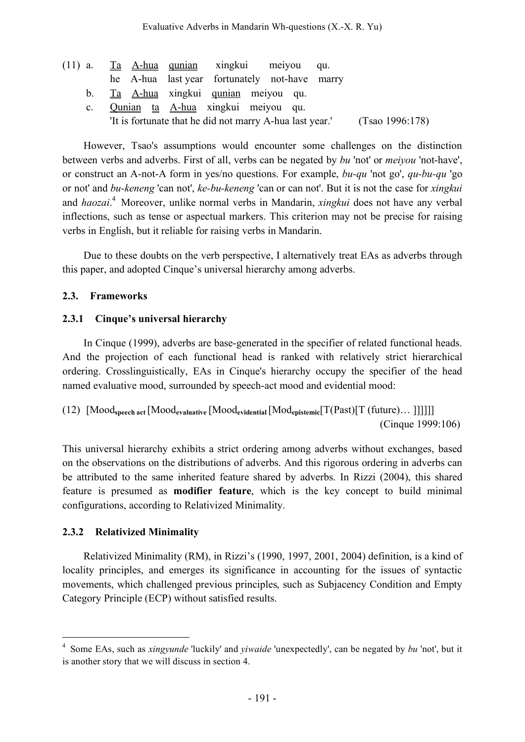|             | (11) a. Ta A-hua qunian xingkui meiyou qu.    |  |  |                                                                         |
|-------------|-----------------------------------------------|--|--|-------------------------------------------------------------------------|
|             | he A-hua last year fortunately not-have marry |  |  |                                                                         |
|             | b. Ta A-hua xingkui qunian meiyou qu.         |  |  |                                                                         |
| $c_{\cdot}$ | Qunian ta A-hua xingkui meiyou qu.            |  |  |                                                                         |
|             |                                               |  |  | The is fortunate that he did not marry A-hua last year. (Tsao 1996:178) |

However, Tsao's assumptions would encounter some challenges on the distinction between verbs and adverbs. First of all, verbs can be negated by *bu* 'not' or *meiyou* 'not-have', or construct an A-not-A form in yes/no questions. For example, *bu-qu* 'not go', *qu-bu-qu* 'go or not' and *bu-keneng* 'can not', *ke-bu-keneng* 'can or can not'. But it is not the case for *xingkui* and *haozai*. <sup>4</sup> Moreover, unlike normal verbs in Mandarin, *xingkui* does not have any verbal inflections, such as tense or aspectual markers. This criterion may not be precise for raising verbs in English, but it reliable for raising verbs in Mandarin.

Due to these doubts on the verb perspective, I alternatively treat EAs as adverbs through this paper, and adopted Cinque's universal hierarchy among adverbs.

# **2.3. Frameworks**

# **2.3.1 Cinque's universal hierarchy**

In Cinque (1999), adverbs are base-generated in the specifier of related functional heads. And the projection of each functional head is ranked with relatively strict hierarchical ordering. Crosslinguistically, EAs in Cinque's hierarchy occupy the specifier of the head named evaluative mood, surrounded by speech-act mood and evidential mood:

```
(12) [Moodspeech act [Moodevaluative [Moodevidential[Modepistemic[T(Past)[T (future)… ]]]]]]
                                                                (Cinque 1999:106)
```
This universal hierarchy exhibits a strict ordering among adverbs without exchanges, based on the observations on the distributions of adverbs. And this rigorous ordering in adverbs can be attributed to the same inherited feature shared by adverbs. In Rizzi (2004), this shared feature is presumed as **modifier feature**, which is the key concept to build minimal configurations, according to Relativized Minimality.

# **2.3.2 Relativized Minimality**

Relativized Minimality (RM), in Rizzi's (1990, 1997, 2001, 2004) definition, is a kind of locality principles, and emerges its significance in accounting for the issues of syntactic movements, which challenged previous principles, such as Subjacency Condition and Empty Category Principle (ECP) without satisfied results.

 <sup>4</sup> Some EAs, such as *xingyunde* 'luckily' and *yiwaide* 'unexpectedly', can be negated by *bu* 'not', but it is another story that we will discuss in section 4.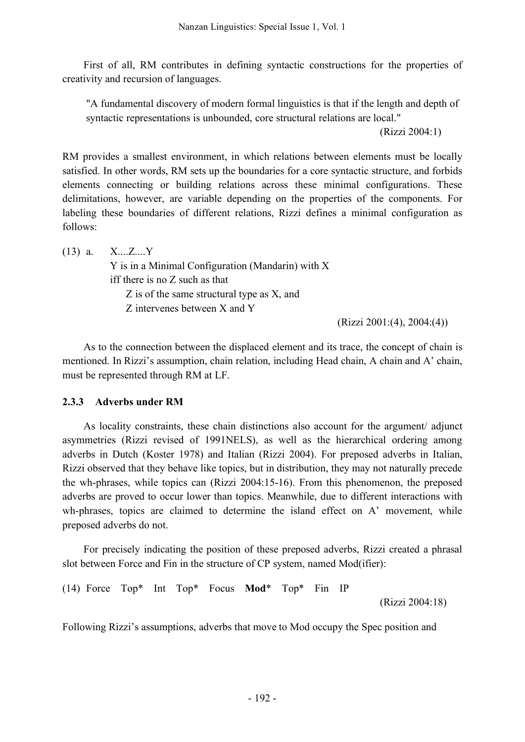First of all, RM contributes in defining syntactic constructions for the properties of creativity and recursion of languages.

"A fundamental discovery of modern formal linguistics is that if the length and depth of syntactic representations is unbounded, core structural relations are local."

(Rizzi 2004:1)

RM provides a smallest environment, in which relations between elements must be locally satisfied. In other words, RM sets up the boundaries for a core syntactic structure, and forbids elements connecting or building relations across these minimal configurations. These delimitations, however, are variable depending on the properties of the components. For labeling these boundaries of different relations, Rizzi defines a minimal configuration as follows:

 $(13)$  a.  $X,...Z,...Y$ Y is in a Minimal Configuration (Mandarin) with X iff there is no Z such as that Z is of the same structural type as X, and Z intervenes between X and Y

(Rizzi 2001:(4), 2004:(4))

As to the connection between the displaced element and its trace, the concept of chain is mentioned. In Rizzi's assumption, chain relation, including Head chain, A chain and A' chain, must be represented through RM at LF.

## **2.3.3 Adverbs under RM**

As locality constraints, these chain distinctions also account for the argument/ adjunct asymmetries (Rizzi revised of 1991NELS), as well as the hierarchical ordering among adverbs in Dutch (Koster 1978) and Italian (Rizzi 2004). For preposed adverbs in Italian, Rizzi observed that they behave like topics, but in distribution, they may not naturally precede the wh-phrases, while topics can (Rizzi 2004:15-16). From this phenomenon, the preposed adverbs are proved to occur lower than topics. Meanwhile, due to different interactions with wh-phrases, topics are claimed to determine the island effect on A' movement, while preposed adverbs do not.

For precisely indicating the position of these preposed adverbs, Rizzi created a phrasal slot between Force and Fin in the structure of CP system, named Mod(ifier):

(14) Force Top\* Int Top\* Focus **Mod**\* Top\* Fin IP

(Rizzi 2004:18)

Following Rizzi's assumptions, adverbs that move to Mod occupy the Spec position and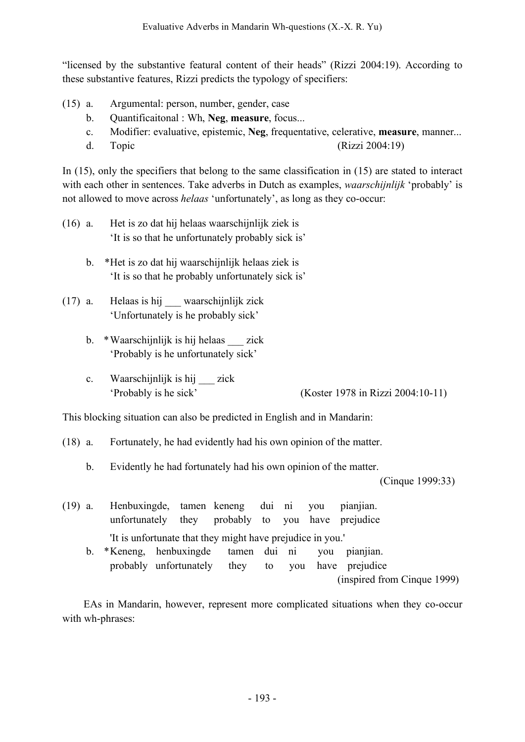"licensed by the substantive featural content of their heads" (Rizzi 2004:19). According to these substantive features, Rizzi predicts the typology of specifiers:

- (15) a. Argumental: person, number, gender, case
	- b. Quantificaitonal : Wh, **Neg**, **measure**, focus...
	- c. Modifier: evaluative, epistemic, **Neg**, frequentative, celerative, **measure**, manner...
	- d. Topic (Rizzi 2004:19)

In (15), only the specifiers that belong to the same classification in (15) are stated to interact with each other in sentences. Take adverbs in Dutch as examples, *waarschijnlijk* 'probably' is not allowed to move across *helaas* 'unfortunately', as long as they co-occur:

- (16) a. Het is zo dat hij helaas waarschijnlijk ziek is 'It is so that he unfortunately probably sick is'
	- b. \*Het is zo dat hij waarschijnlijk helaas ziek is 'It is so that he probably unfortunately sick is'
- (17) a. Helaas is hij \_\_\_ waarschijnlijk zick 'Unfortunately is he probably sick'
	- b. \*Waarschijnlijk is hij helaas zick 'Probably is he unfortunately sick'
	- c. Waarschijnlijk is hij zick 'Probably is he sick' (Koster 1978 in Rizzi 2004:10-11)

This blocking situation can also be predicted in English and in Mandarin:

- (18) a. Fortunately, he had evidently had his own opinion of the matter.
	- b. Evidently he had fortunately had his own opinion of the matter.

(Cinque 1999:33)

(19) a. Henbuxingde, tamen keneng dui ni you pianjian. unfortunately they probably to you have prejudice 'It is unfortunate that they might have prejudice in you.' b. \*Keneng, henbuxingde tamen dui ni you pianjian. probably unfortunately they to you have prejudice (inspired from Cinque 1999)

EAs in Mandarin, however, represent more complicated situations when they co-occur with wh-phrases: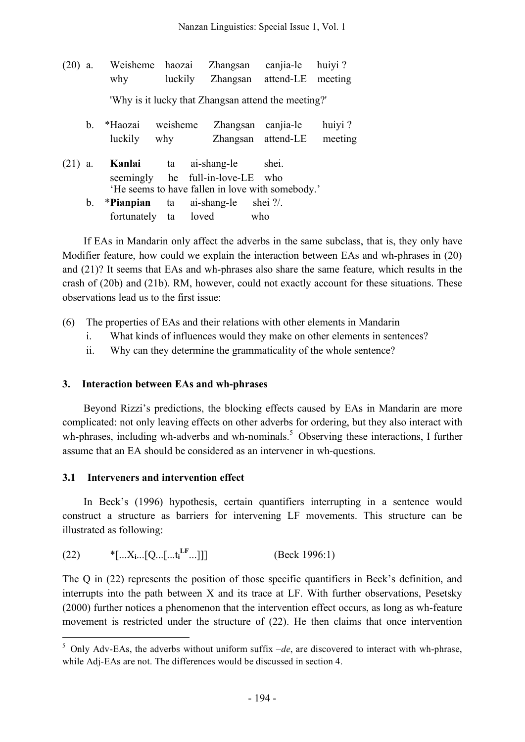| $(20)$ a. |         | Weisheme haozai<br>why      | luckily         | Zhangsan                                            | canjia-le<br>Zhangsan attend-LE | huiyi?<br>meeting |
|-----------|---------|-----------------------------|-----------------|-----------------------------------------------------|---------------------------------|-------------------|
|           |         |                             |                 | 'Why is it lucky that Zhangsan attend the meeting?' |                                 |                   |
|           | $b_{-}$ | *Haozai<br>luckily          | weisheme<br>why | Zhangsan                                            | canjia-le<br>Zhangsan attend-LE | huiyi?<br>meeting |
| $(21)$ a. |         | Kanlai                      | ta              | ai-shang-le<br>seemingly he full-in-love-LE who     | shei.                           |                   |
|           |         |                             |                 | He seems to have fallen in love with somebody.'     | shei $\frac{?}{.}$              |                   |
|           | b.      | *Pianpian<br>fortunately ta | ta              | ai-shang-le<br>loved                                | who                             |                   |

If EAs in Mandarin only affect the adverbs in the same subclass, that is, they only have Modifier feature, how could we explain the interaction between EAs and wh-phrases in (20) and (21)? It seems that EAs and wh-phrases also share the same feature, which results in the crash of (20b) and (21b). RM, however, could not exactly account for these situations. These observations lead us to the first issue:

- (6) The properties of EAs and their relations with other elements in Mandarin
	- i. What kinds of influences would they make on other elements in sentences?
	- ii. Why can they determine the grammaticality of the whole sentence?

### **3. Interaction between EAs and wh-phrases**

Beyond Rizzi's predictions, the blocking effects caused by EAs in Mandarin are more complicated: not only leaving effects on other adverbs for ordering, but they also interact with wh-phrases, including wh-adverbs and wh-nominals.<sup>5</sup> Observing these interactions, I further assume that an EA should be considered as an intervener in wh-questions.

## **3.1 Interveners and intervention effect**

In Beck's (1996) hypothesis, certain quantifiers interrupting in a sentence would construct a structure as barriers for intervening LF movements. This structure can be illustrated as following:

| (22) | *[ $X_i$ [Q[t <sub>i</sub> <sup>LF</sup> ]]] | (Beck 1996:1) |
|------|----------------------------------------------|---------------|
|------|----------------------------------------------|---------------|

The Q in (22) represents the position of those specific quantifiers in Beck's definition, and interrupts into the path between X and its trace at LF. With further observations, Pesetsky (2000) further notices a phenomenon that the intervention effect occurs, as long as wh-feature movement is restricted under the structure of (22). He then claims that once intervention

 $5$  Only Adv-EAs, the adverbs without uniform suffix  $-de$ , are discovered to interact with wh-phrase, while Adj-EAs are not. The differences would be discussed in section 4.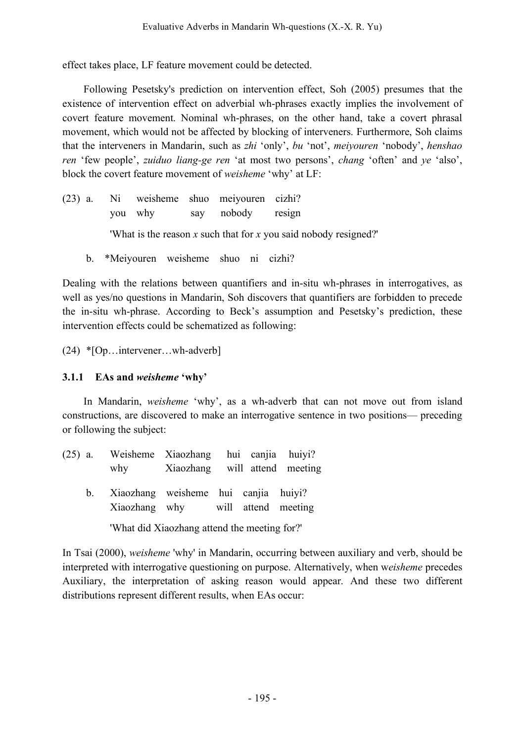effect takes place, LF feature movement could be detected.

Following Pesetsky's prediction on intervention effect, Soh (2005) presumes that the existence of intervention effect on adverbial wh-phrases exactly implies the involvement of covert feature movement. Nominal wh-phrases, on the other hand, take a covert phrasal movement, which would not be affected by blocking of interveners. Furthermore, Soh claims that the interveners in Mandarin, such as *zhi* 'only', *bu* 'not', *meiyouren* 'nobody', *henshao ren* 'few people', *zuiduo liang-ge ren* 'at most two persons', *chang* 'often' and *ye* 'also', block the covert feature movement of *weisheme* 'why' at LF:

- (23) a. Ni weisheme shuo meiyouren cizhi? you why say nobody resign 'What is the reason *x* such that for *x* you said nobody resigned?'
	- b. \*Meiyouren weisheme shuo ni cizhi?

Dealing with the relations between quantifiers and in-situ wh-phrases in interrogatives, as well as yes/no questions in Mandarin, Soh discovers that quantifiers are forbidden to precede the in-situ wh-phrase. According to Beck's assumption and Pesetsky's prediction, these intervention effects could be schematized as following:

(24) \*[Op…intervener…wh-adverb]

### **3.1.1 EAs and** *weisheme* **'why'**

In Mandarin, *weisheme* 'why', as a wh-adverb that can not move out from island constructions, are discovered to make an interrogative sentence in two positions— preceding or following the subject:

| $(25)$ a. |                                         | Weisheme Xiaozhang hui canjia huiyi?         |  |  |
|-----------|-----------------------------------------|----------------------------------------------|--|--|
|           |                                         | why Xiaozhang will attend meeting            |  |  |
|           | b. Xiaozhang weisheme hui canjia huiyi? | Xiaozhang why will attend meeting            |  |  |
|           |                                         | 'What did Xiaozhang attend the meeting for?' |  |  |

In Tsai (2000), *weisheme* 'why' in Mandarin, occurring between auxiliary and verb, should be interpreted with interrogative questioning on purpose. Alternatively, when w*eisheme* precedes Auxiliary, the interpretation of asking reason would appear. And these two different distributions represent different results, when EAs occur: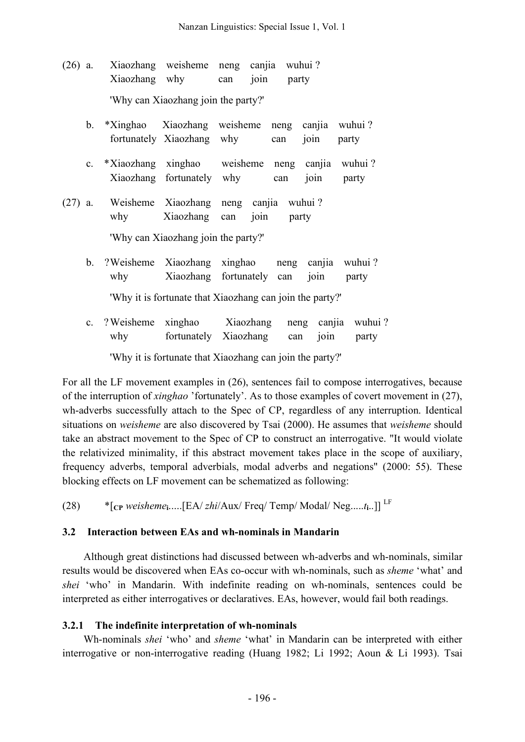(26) a. Xiaozhang weisheme neng canjia wuhui ? Xiaozhang why can join party 'Why can Xiaozhang join the party?' b. \*Xinghao Xiaozhang weisheme neng canjia wuhui ? fortunately Xiaozhang why can join party c. \*Xiaozhang xinghao weisheme neng canjia wuhui ? Xiaozhang fortunately why can join party (27) a. Weisheme Xiaozhang neng canjia wuhui ? why Xiaozhang can join party

'Why can Xiaozhang join the party?'

- b. ?Weisheme Xiaozhang xinghao neng canjia wuhui ? why Xiaozhang fortunately can join party 'Why it is fortunate that Xiaozhang can join the party?'
- c. ?Weisheme xinghao Xiaozhang neng canjia wuhui ? why fortunately Xiaozhang can join party

'Why it is fortunate that Xiaozhang can join the party?'

For all the LF movement examples in (26), sentences fail to compose interrogatives, because of the interruption of *xinghao* 'fortunately'. As to those examples of covert movement in (27), wh-adverbs successfully attach to the Spec of CP, regardless of any interruption. Identical situations on *weisheme* are also discovered by Tsai (2000). He assumes that *weisheme* should take an abstract movement to the Spec of CP to construct an interrogative. "It would violate the relativized minimality, if this abstract movement takes place in the scope of auxiliary, frequency adverbs, temporal adverbials, modal adverbs and negations" (2000: 55). These blocking effects on LF movement can be schematized as following:

(28) \*[**CP** *weisheme***i**.....[EA/ *zhi*/Aux/ Freq/ Temp/ Modal/ Neg.....*t***i**..]] LF

### **3.2 Interaction between EAs and wh-nominals in Mandarin**

Although great distinctions had discussed between wh-adverbs and wh-nominals, similar results would be discovered when EAs co-occur with wh-nominals, such as *sheme* 'what' and *shei* 'who' in Mandarin. With indefinite reading on wh-nominals, sentences could be interpreted as either interrogatives or declaratives. EAs, however, would fail both readings.

### **3.2.1 The indefinite interpretation of wh-nominals**

Wh-nominals *shei* 'who' and *sheme* 'what' in Mandarin can be interpreted with either interrogative or non-interrogative reading (Huang 1982; Li 1992; Aoun & Li 1993). Tsai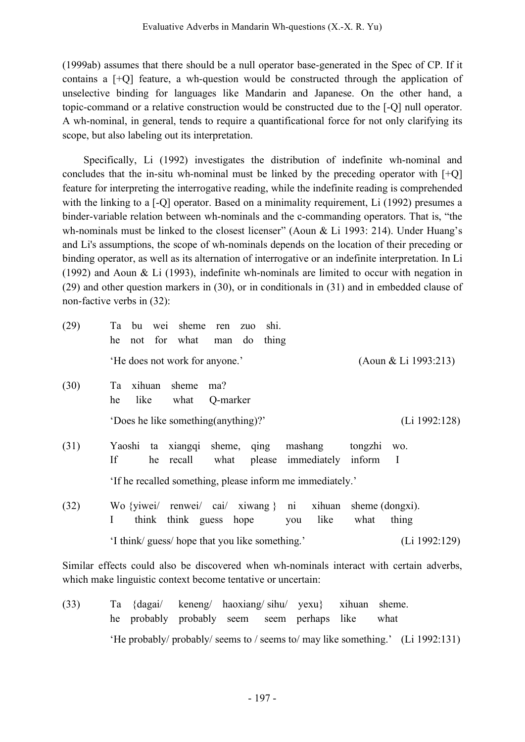(1999ab) assumes that there should be a null operator base-generated in the Spec of CP. If it contains a [+Q] feature, a wh-question would be constructed through the application of unselective binding for languages like Mandarin and Japanese. On the other hand, a topic-command or a relative construction would be constructed due to the [-Q] null operator. A wh-nominal, in general, tends to require a quantificational force for not only clarifying its scope, but also labeling out its interpretation.

Specifically, Li (1992) investigates the distribution of indefinite wh-nominal and concludes that the in-situ wh-nominal must be linked by the preceding operator with [+Q] feature for interpreting the interrogative reading, while the indefinite reading is comprehended with the linking to a [-Q] operator. Based on a minimality requirement, Li (1992) presumes a binder-variable relation between wh-nominals and the c-commanding operators. That is, "the wh-nominals must be linked to the closest licenser" (Aoun & Li 1993: 214). Under Huang's and Li's assumptions, the scope of wh-nominals depends on the location of their preceding or binding operator, as well as its alternation of interrogative or an indefinite interpretation. In Li (1992) and Aoun & Li (1993), indefinite wh-nominals are limited to occur with negation in (29) and other question markers in (30), or in conditionals in (31) and in embedded clause of non-factive verbs in (32):

| (29) | bu wei sheme<br>Ta<br>shi.<br>ren zuo<br>not for what<br>do<br>thing<br>he<br>man                                                       |  |
|------|-----------------------------------------------------------------------------------------------------------------------------------------|--|
|      | (Aoun & Li 1993:213)<br>'He does not work for anyone.'                                                                                  |  |
| (30) | sheme<br>xihuan<br>Ta<br>ma?<br>like<br>he<br>what<br>Q-marker                                                                          |  |
|      | 'Does he like something (anything)?'<br>(L <sub>i</sub> 1992:128)                                                                       |  |
| (31) | mashang<br>Yaoshi<br>ta xiangqi<br>sheme, qing<br>tongzhi<br>WO.<br>If<br>please immediately<br>he recall<br>what<br>$\bf{I}$<br>inform |  |
|      | 'If he recalled something, please inform me immediately.'                                                                               |  |
| (32) | Wo {yiwei/ renwei/ cai/ xiwang } ni xihuan<br>sheme (dongxi).<br>think guess<br>like<br>think<br>hope<br>thing<br>L<br>what<br>you      |  |
|      | 'I think/ guess/ hope that you like something.'<br>(L <sub>i</sub> 1992:129)                                                            |  |

Similar effects could also be discovered when wh-nominals interact with certain adverbs, which make linguistic context become tentative or uncertain:

(33) Ta {dagai/ keneng/ haoxiang/ sihu/ yexu} xihuan sheme. he probably probably seem seem perhaps like what 'He probably/ probably/ seems to / seems to/ may like something.' (Li 1992:131)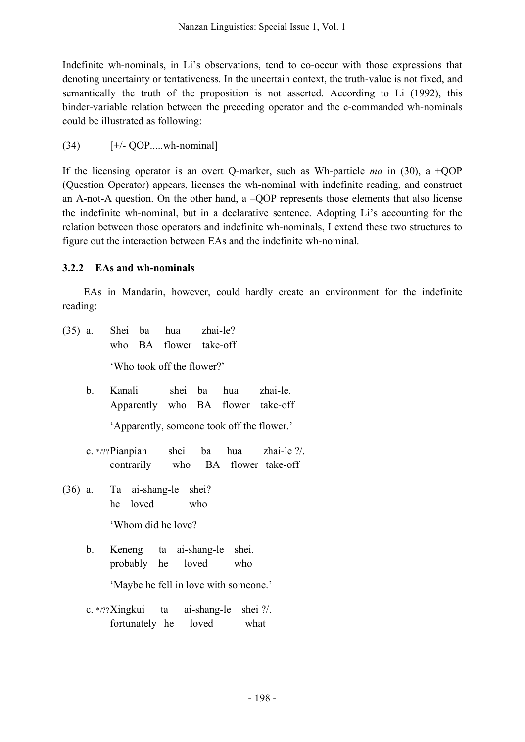Indefinite wh-nominals, in Li's observations, tend to co-occur with those expressions that denoting uncertainty or tentativeness. In the uncertain context, the truth-value is not fixed, and semantically the truth of the proposition is not asserted. According to Li (1992), this binder-variable relation between the preceding operator and the c-commanded wh-nominals could be illustrated as following:

 $(34)$  [+/- QOP.....wh-nominal]

If the licensing operator is an overt Q-marker, such as Wh-particle *ma* in (30), a +QOP (Question Operator) appears, licenses the wh-nominal with indefinite reading, and construct an A-not-A question. On the other hand, a –QOP represents those elements that also license the indefinite wh-nominal, but in a declarative sentence. Adopting Li's accounting for the relation between those operators and indefinite wh-nominals, I extend these two structures to figure out the interaction between EAs and the indefinite wh-nominal.

## **3.2.2 EAs and wh-nominals**

EAs in Mandarin, however, could hardly create an environment for the indefinite reading:

- (35) a. Shei ba hua zhai-le? who BA flower take-off 'Who took off the flower?'
	- b. Kanali shei ba hua zhai-le. Apparently who BA flower take-off

'Apparently, someone took off the flower.'

- c. \*/??Pianpian shei ba hua zhai-le ?/. contrarily who BA flower take-off
- (36) a. Ta ai-shang-le shei? he loved who

'Whom did he love?

b. Keneng ta ai-shang-le shei. probably he loved who

'Maybe he fell in love with someone.'

c. \*/??Xingkui ta ai-shang-le shei ?/. fortunately he loved what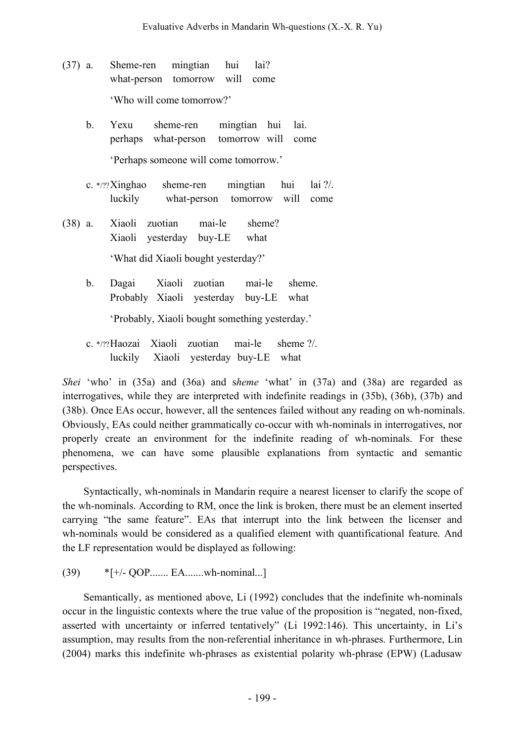- (37) a. Sheme-ren mingtian hui lai? what-person tomorrow will come 'Who will come tomorrow?'
	- b. Yexu sheme-ren mingtian hui lai. perhaps what-person tomorrow will come 'Perhaps someone will come tomorrow.'
	- c. \*/??Xinghao sheme-ren mingtian hui lai ?/. luckily what-person tomorrow will come
- (38) a. Xiaoli zuotian mai-le sheme? Xiaoli yesterday buy-LE what 'What did Xiaoli bought yesterday?'
	- b. Dagai Xiaoli zuotian mai-le sheme. Probably Xiaoli yesterday buy-LE what

'Probably, Xiaoli bought something yesterday.'

c. \*/??Haozai Xiaoli zuotian mai-le sheme ?/. luckily Xiaoli yesterday buy-LE what

*Shei* 'who' in (35a) and (36a) and s*heme* 'what' in (37a) and (38a) are regarded as interrogatives, while they are interpreted with indefinite readings in (35b), (36b), (37b) and (38b). Once EAs occur, however, all the sentences failed without any reading on wh-nominals. Obviously, EAs could neither grammatically co-occur with wh-nominals in interrogatives, nor properly create an environment for the indefinite reading of wh-nominals. For these phenomena, we can have some plausible explanations from syntactic and semantic perspectives.

Syntactically, wh-nominals in Mandarin require a nearest licenser to clarify the scope of the wh-nominals. According to RM, once the link is broken, there must be an element inserted carrying "the same feature". EAs that interrupt into the link between the licenser and wh-nominals would be considered as a qualified element with quantificational feature. And the LF representation would be displayed as following:

(39) \*[+/- QOP....... EA.......wh-nominal...]

Semantically, as mentioned above, Li (1992) concludes that the indefinite wh-nominals occur in the linguistic contexts where the true value of the proposition is "negated, non-fixed, asserted with uncertainty or inferred tentatively" (Li 1992:146). This uncertainty, in Li's assumption, may results from the non-referential inheritance in wh-phrases. Furthermore, Lin (2004) marks this indefinite wh-phrases as existential polarity wh-phrase (EPW) (Ladusaw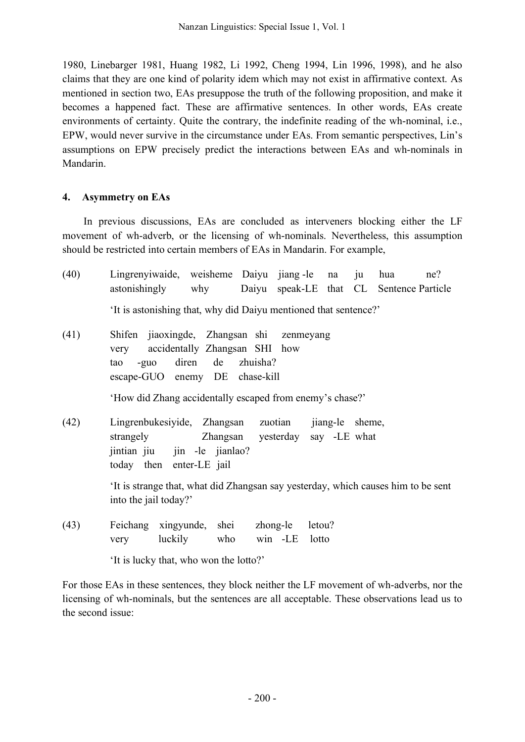1980, Linebarger 1981, Huang 1982, Li 1992, Cheng 1994, Lin 1996, 1998), and he also claims that they are one kind of polarity idem which may not exist in affirmative context. As mentioned in section two, EAs presuppose the truth of the following proposition, and make it becomes a happened fact. These are affirmative sentences. In other words, EAs create environments of certainty. Quite the contrary, the indefinite reading of the wh-nominal, i.e., EPW, would never survive in the circumstance under EAs. From semantic perspectives, Lin's assumptions on EPW precisely predict the interactions between EAs and wh-nominals in Mandarin.

### **4. Asymmetry on EAs**

In previous discussions, EAs are concluded as interveners blocking either the LF movement of wh-adverb, or the licensing of wh-nominals. Nevertheless, this assumption should be restricted into certain members of EAs in Mandarin. For example,

| (40) | Lingrenyiwaide, weisheme Daiyu jiang-le na ju<br>hua<br>ne?<br>Daiyu speak-LE that CL Sentence Particle<br>astonishingly why                                                                                      |
|------|-------------------------------------------------------------------------------------------------------------------------------------------------------------------------------------------------------------------|
|      | 'It is astonishing that, why did Daiyu mentioned that sentence?'                                                                                                                                                  |
| (41) | Shifen jiaoxingde, Zhangsan shi zenmeyang<br>accidentally Zhangsan SHI how<br>very<br>-guo diren de zhuisha?<br>tao<br>escape-GUO enemy DE chase-kill<br>'How did Zhang accidentally escaped from enemy's chase?' |
| (42) | Lingrenbukesiyide, Zhangsan zuotian jiang-le sheme,<br>strangely <b>Example 2</b> Zhangsan yesterday say -LE what<br>jintian jiu jin -le jianlao?<br>today then enter-LE jail                                     |
|      | It is strange that, what did Zhangsan say yesterday, which causes him to be sent<br>into the jail today?'                                                                                                         |
| (43) | Feichang xingyunde, shei<br>zhong-le letou?<br>luckily who<br>win -LE lotto<br>very                                                                                                                               |

'It is lucky that, who won the lotto?'

For those EAs in these sentences, they block neither the LF movement of wh-adverbs, nor the licensing of wh-nominals, but the sentences are all acceptable. These observations lead us to the second issue: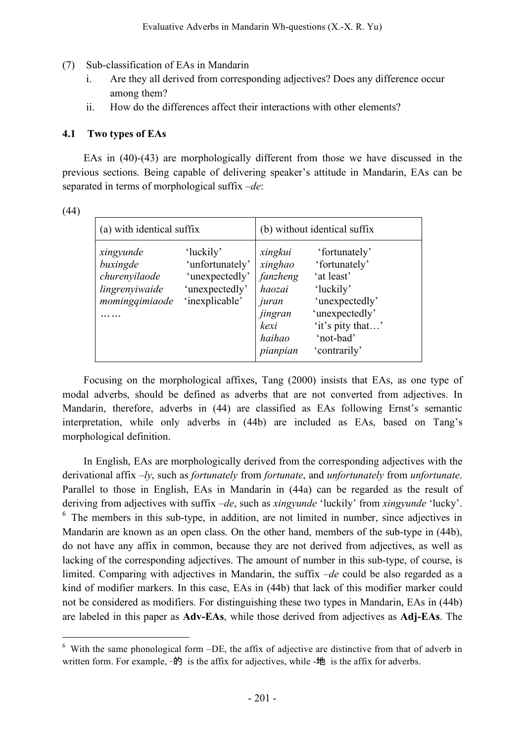- (7) Sub-classification of EAs in Mandarin
	- i. Are they all derived from corresponding adjectives? Does any difference occur among them?
	- ii. How do the differences affect their interactions with other elements?

### **4.1 Two types of EAs**

EAs in (40)-(43) are morphologically different from those we have discussed in the previous sections. Being capable of delivering speaker's attitude in Mandarin, EAs can be separated in terms of morphological suffix *–de*:

| (a) with identical suffix                                                  |                                                                                    | (b) without identical suffix                                                               |                                                                                                                                                |  |
|----------------------------------------------------------------------------|------------------------------------------------------------------------------------|--------------------------------------------------------------------------------------------|------------------------------------------------------------------------------------------------------------------------------------------------|--|
| xingyunde<br>buxingde<br>churenyilaode<br>lingrenyiwaide<br>mominggimiaode | 'luckily'<br>'unfortunately'<br>'unexpectedly'<br>'unexpectedly'<br>'inexplicable' | xingkui<br>xinghao<br>fanzheng<br>haozai<br>juran<br>jingran<br>kexi<br>haihao<br>pianpian | 'fortunately'<br>'fortunately'<br>'at least'<br>'luckily'<br>'unexpectedly'<br>'unexpectedly'<br>'it's pity that'<br>'not-bad'<br>'contrarily' |  |

Focusing on the morphological affixes, Tang (2000) insists that EAs, as one type of modal adverbs, should be defined as adverbs that are not converted from adjectives. In Mandarin, therefore, adverbs in (44) are classified as EAs following Ernst's semantic interpretation, while only adverbs in (44b) are included as EAs, based on Tang's morphological definition.

In English, EAs are morphologically derived from the corresponding adjectives with the derivational affix *–ly*, such as *fortunately* from *fortunate*, and *unfortunately* from *unfortunate*. Parallel to those in English, EAs in Mandarin in (44a) can be regarded as the result of deriving from adjectives with suffix –*de*, such as *xingyunde* 'luckily' from *xingyunde* 'lucky'.  $6\text{ The members in this sub-type, in addition, are not limited in number, since adjectives in$ Mandarin are known as an open class. On the other hand, members of the sub-type in (44b), do not have any affix in common, because they are not derived from adjectives, as well as lacking of the corresponding adjectives. The amount of number in this sub-type, of course, is limited. Comparing with adjectives in Mandarin, the suffix *–de* could be also regarded as a kind of modifier markers. In this case, EAs in (44b) that lack of this modifier marker could not be considered as modifiers. For distinguishing these two types in Mandarin, EAs in (44b) are labeled in this paper as **Adv-EAs**, while those derived from adjectives as **Adj-EAs**. The

 $6\,$  With the same phonological form  $-DE$ , the affix of adjective are distinctive from that of adverb in written form. For example,  $-\hat{p}$  is the affix for adjectives, while  $-\hat{p}$  is the affix for adverbs.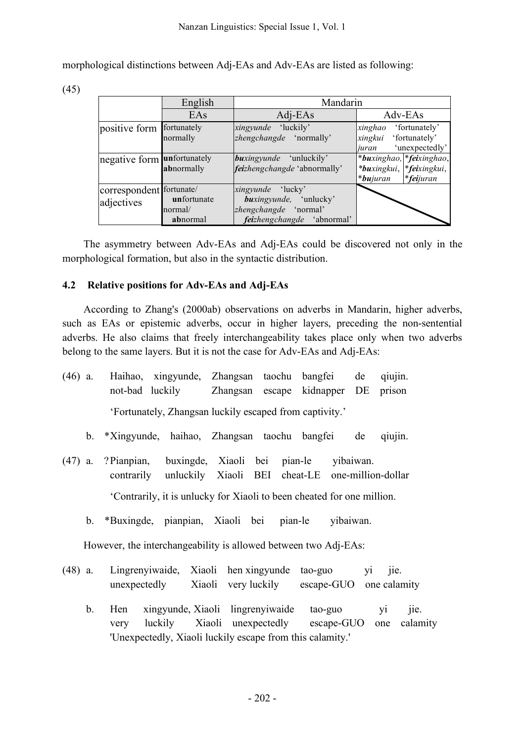morphological distinctions between Adj-EAs and Adv-EAs are listed as following:

(45)

|                                        | English                            | Mandarin                                                                                                  |                                                                                        |  |  |
|----------------------------------------|------------------------------------|-----------------------------------------------------------------------------------------------------------|----------------------------------------------------------------------------------------|--|--|
|                                        | EAs                                | Adj-EAs                                                                                                   | Adv-EAs                                                                                |  |  |
| positive form                          | fortunately<br>normally            | xingyunde 'luckily'<br>zhengchangde 'normally'                                                            | 'fortunately'<br>xinghao<br>'fortunately'<br>xingkui<br>'unexpectedly'<br>iuran        |  |  |
| negative form unfortunately            | abnormally                         | <i>buxingyunde</i> 'unluckily'<br>feizhengchangde 'abnormally'                                            | *buxinghao, *feixinghao,<br>*buxingkui, *feixingkui,<br>*feijuran<br>* <b>bu</b> juran |  |  |
| correspondent fortunate/<br>adjectives | unfortunate<br>normal/<br>abnormal | <i>xingyunde</i> 'lucky'<br>buxingyunde, 'unlucky'<br>zhengchangde 'normal'<br>feizhengchangde 'abnormal' |                                                                                        |  |  |

The asymmetry between Adv-EAs and Adj-EAs could be discovered not only in the morphological formation, but also in the syntactic distribution.

### **4.2 Relative positions for Adv-EAs and Adj-EAs**

According to Zhang's (2000ab) observations on adverbs in Mandarin, higher adverbs, such as EAs or epistemic adverbs, occur in higher layers, preceding the non-sentential adverbs. He also claims that freely interchangeability takes place only when two adverbs belong to the same layers. But it is not the case for Adv-EAs and Adj-EAs:

| $(46)$ a. | Haihao, xingyunde, Zhangsan taochu bangfei de                            |  | not-bad luckily Zhangsan escape kidnapper DE prison                    |           | qiujin. |
|-----------|--------------------------------------------------------------------------|--|------------------------------------------------------------------------|-----------|---------|
|           | 'Fortunately, Zhangsan luckily escaped from captivity.'                  |  |                                                                        |           |         |
|           | b. *Xingyunde, haihao, Zhangsan taochu bangfei                           |  |                                                                        | de        | qiujin. |
| $(47)$ a. | ?Pianpian, buxingde, Xiaoli bei pian-le yibaiwan.                        |  | contrarily unluckily Xiaoli BEI cheat-LE one-million-dollar            |           |         |
|           |                                                                          |  | 'Contrarily, it is unlucky for Xiaoli to been cheated for one million. |           |         |
|           | b. *Buxingde, pianpian, Xiaoli bei pian-le                               |  |                                                                        | yibaiwan. |         |
|           | However, the interchangeability is allowed between two Adj-EAs:          |  |                                                                        |           |         |
| $(48)$ a. | Lingrenyiwaide, Xiaoli hen xingyunde<br>unexpectedly Xiaoli very luckily |  | tao-guo yi<br>escape-GUO one calamity                                  |           | jie.    |

b. Hen xingyunde, Xiaoli lingrenyiwaide tao-guo yi jie. very luckily Xiaoli unexpectedly escape-GUO one calamity 'Unexpectedly, Xiaoli luckily escape from this calamity.'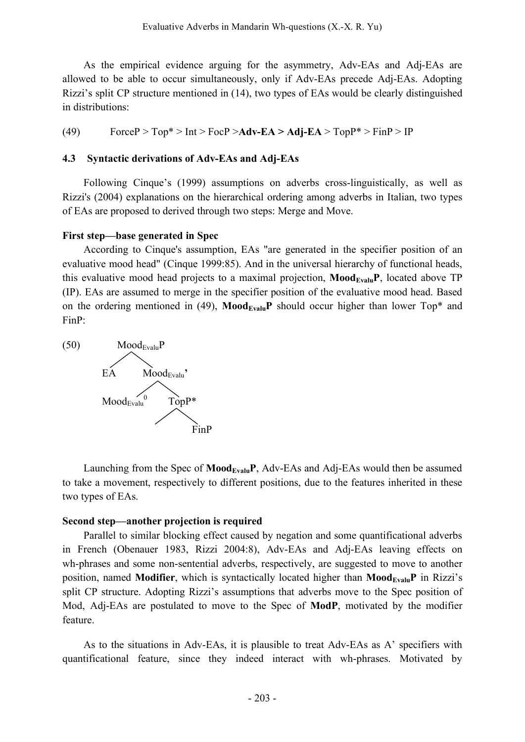As the empirical evidence arguing for the asymmetry, Adv-EAs and Adj-EAs are allowed to be able to occur simultaneously, only if Adv-EAs precede Adj-EAs. Adopting Rizzi's split CP structure mentioned in (14), two types of EAs would be clearly distinguished in distributions:

(49) ForceP >  $Top^*$  >  $Int$  >  $FocP$  >  $Adv$ - $EA$  >  $Adj$ - $EA$  >  $TopP^*$  >  $FinP$  >  $IP$ 

#### **4.3 Syntactic derivations of Adv-EAs and Adj-EAs**

Following Cinque's (1999) assumptions on adverbs cross-linguistically, as well as Rizzi's (2004) explanations on the hierarchical ordering among adverbs in Italian, two types of EAs are proposed to derived through two steps: Merge and Move.

#### **First step—base generated in Spec**

According to Cinque's assumption, EAs "are generated in the specifier position of an evaluative mood head" (Cinque 1999:85). And in the universal hierarchy of functional heads, this evaluative mood head projects to a maximal projection,  $\text{Mod}_{\text{Evalu}}\text{P}$ , located above TP (IP). EAs are assumed to merge in the specifier position of the evaluative mood head. Based on the ordering mentioned in (49),  $\text{Mod}_{\text{Evaluate}}$  should occur higher than lower Top<sup>\*</sup> and FinP:



Launching from the Spec of **Mood<sub>Evalu</sub>P**, Adv-EAs and Adj-EAs would then be assumed to take a movement, respectively to different positions, due to the features inherited in these two types of EAs.

#### **Second step—another projection is required**

Parallel to similar blocking effect caused by negation and some quantificational adverbs in French (Obenauer 1983, Rizzi 2004:8), Adv-EAs and Adj-EAs leaving effects on wh-phrases and some non-sentential adverbs, respectively, are suggested to move to another position, named **Modifier**, which is syntactically located higher than **Mood**<sub>Evalu</sub>P in Rizzi's split CP structure. Adopting Rizzi's assumptions that adverbs move to the Spec position of Mod, Adj-EAs are postulated to move to the Spec of **ModP**, motivated by the modifier feature.

As to the situations in Adv-EAs, it is plausible to treat Adv-EAs as A' specifiers with quantificational feature, since they indeed interact with wh-phrases. Motivated by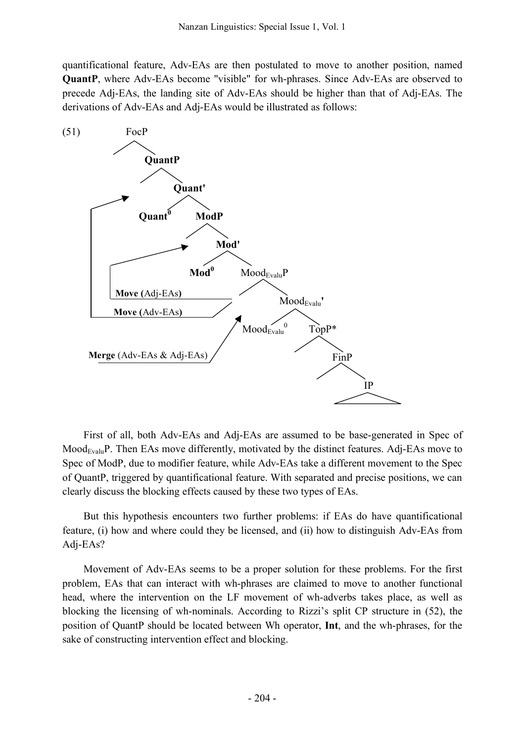quantificational feature, Adv-EAs are then postulated to move to another position, named **QuantP**, where Adv-EAs become "visible" for wh-phrases. Since Adv-EAs are observed to precede Adj-EAs, the landing site of Adv-EAs should be higher than that of Adj-EAs. The derivations of Adv-EAs and Adj-EAs would be illustrated as follows:



First of all, both Adv-EAs and Adj-EAs are assumed to be base-generated in Spec of  $Mood_{Evalu}P$ . Then EAs move differently, motivated by the distinct features. Adj-EAs move to Spec of ModP, due to modifier feature, while Adv-EAs take a different movement to the Spec of QuantP, triggered by quantificational feature. With separated and precise positions, we can clearly discuss the blocking effects caused by these two types of EAs.

But this hypothesis encounters two further problems: if EAs do have quantificational feature, (i) how and where could they be licensed, and (ii) how to distinguish Adv-EAs from Adj-EAs?

Movement of Adv-EAs seems to be a proper solution for these problems. For the first problem, EAs that can interact with wh-phrases are claimed to move to another functional head, where the intervention on the LF movement of wh-adverbs takes place, as well as blocking the licensing of wh-nominals. According to Rizzi's split CP structure in (52), the position of QuantP should be located between Wh operator, **Int**, and the wh-phrases, for the sake of constructing intervention effect and blocking.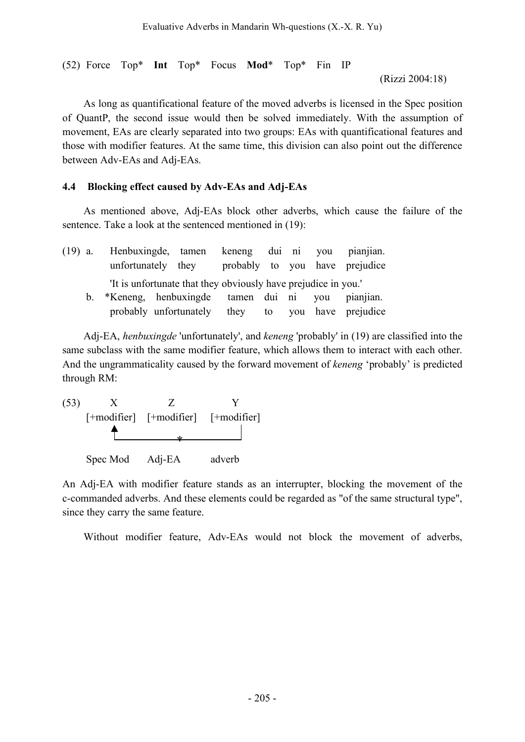(52) Force Top\* **Int** Top\* Focus **Mod**\* Top\* Fin IP

(Rizzi 2004:18)

As long as quantificational feature of the moved adverbs is licensed in the Spec position of QuantP, the second issue would then be solved immediately. With the assumption of movement, EAs are clearly separated into two groups: EAs with quantificational features and those with modifier features. At the same time, this division can also point out the difference between Adv-EAs and Adj-EAs.

### **4.4 Blocking effect caused by Adv-EAs and Adj-EAs**

As mentioned above, Adj-EAs block other adverbs, which cause the failure of the sentence. Take a look at the sentenced mentioned in (19):

| $(19)$ a.   |                                                 | Henbuxingde, tamen keneng dui ni you pianjian.                 |  |  |                                |
|-------------|-------------------------------------------------|----------------------------------------------------------------|--|--|--------------------------------|
|             | unfortunately they                              |                                                                |  |  | probably to you have prejudice |
|             |                                                 | 'It is unfortunate that they obviously have prejudice in you.' |  |  |                                |
| $b_{\perp}$ | *Keneng, henbuxingde tamen dui ni you pianjian. |                                                                |  |  |                                |
|             |                                                 | probably unfortunately they to you have prejudice              |  |  |                                |

Adj-EA, *henbuxingde* 'unfortunately', and *keneng* 'probably' in (19) are classified into the same subclass with the same modifier feature, which allows them to interact with each other. And the ungrammaticality caused by the forward movement of *keneng* 'probably' is predicted through RM:

(53) X Z Y [+modifier] [+modifier] [+modifier] Spec Mod Adj-EA adverb \*

An Adj-EA with modifier feature stands as an interrupter, blocking the movement of the c-commanded adverbs. And these elements could be regarded as "of the same structural type", since they carry the same feature.

Without modifier feature, Adv-EAs would not block the movement of adverbs,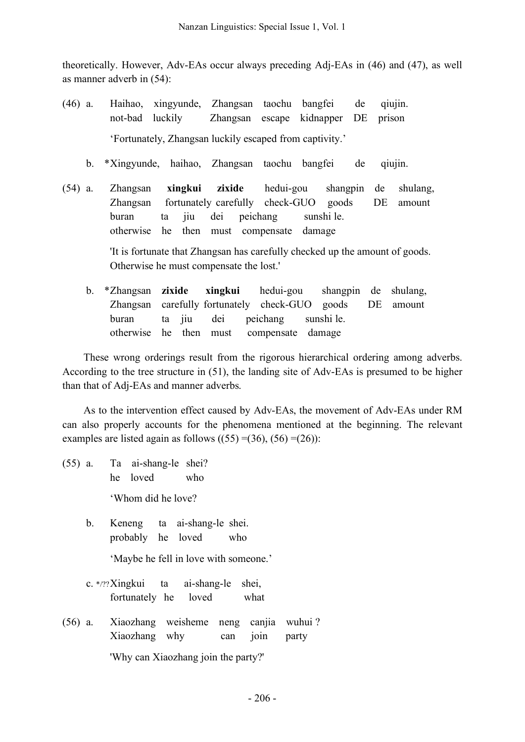theoretically. However, Adv-EAs occur always preceding Adj-EAs in (46) and (47), as well as manner adverb in (54):

- (46) a. Haihao, xingyunde, Zhangsan taochu bangfei de qiujin. not-bad luckily Zhangsan escape kidnapper DE prison 'Fortunately, Zhangsan luckily escaped from captivity.'
	- b. \*Xingyunde, haihao, Zhangsan taochu bangfei de qiujin.
- (54) a. Zhangsan **xingkui zixide** hedui-gou shangpin de shulang, Zhangsan fortunately carefully check-GUO goods DE amount buran ta jiu dei peichang sunshi le. otherwise he then must compensate damage

'It is fortunate that Zhangsan has carefully checked up the amount of goods. Otherwise he must compensate the lost.'

b. \*Zhangsan **zixide xingkui** hedui-gou shangpin de shulang, Zhangsan carefully fortunately check-GUO goods DE amount buran ta jiu dei peichang sunshi le. otherwise he then must compensate damage

These wrong orderings result from the rigorous hierarchical ordering among adverbs. According to the tree structure in (51), the landing site of Adv-EAs is presumed to be higher than that of Adj-EAs and manner adverbs.

As to the intervention effect caused by Adv-EAs, the movement of Adv-EAs under RM can also properly accounts for the phenomena mentioned at the beginning. The relevant examples are listed again as follows  $((55) = (36), (56) = (26)$ :

- (55) a. Ta ai-shang-le shei? he loved who 'Whom did he love?
	- b. Keneng ta ai-shang-le shei. probably he loved who

'Maybe he fell in love with someone.'

- c. \*/??Xingkui ta ai-shang-le shei, fortunately he loved what
- (56) a. Xiaozhang weisheme neng canjia wuhui ? Xiaozhang why can join party 'Why can Xiaozhang join the party?'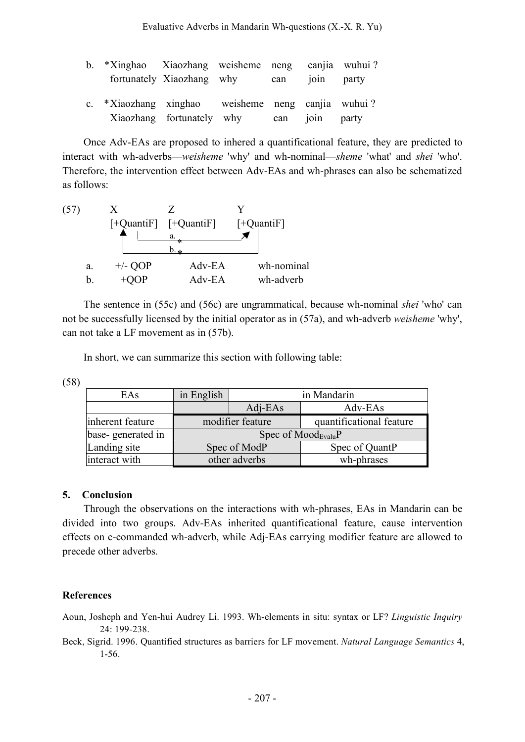| b. *Xinghao Xiaozhang weisheme neng canjia wuhui? | fortunately Xiaozhang why can            |  | 1011 party |  |
|---------------------------------------------------|------------------------------------------|--|------------|--|
| c. *Xiaozhang xinghao weisheme neng canjia wuhui? | Xiaozhang fortunately why can join party |  |            |  |

Once Adv-EAs are proposed to inhered a quantificational feature, they are predicted to interact with wh-adverbs—*weisheme* 'why' and wh-nominal—*sheme* 'what' and *shei* 'who'. Therefore, the intervention effect between Adv-EAs and wh-phrases can also be schematized as follows:



The sentence in (55c) and (56c) are ungrammatical, because wh-nominal *shei* 'who' can not be successfully licensed by the initial operator as in (57a), and wh-adverb *weisheme* 'why', can not take a LF movement as in (57b).

In short, we can summarize this section with following table:

(58)

| EAs               | in English             | in Mandarin   |                          |  |  |
|-------------------|------------------------|---------------|--------------------------|--|--|
|                   |                        | $Adj-EAs$     | Adv-EAs                  |  |  |
| inherent feature  | modifier feature       |               | quantificational feature |  |  |
| base-generated in | Spec of $Mod_{Evalu}P$ |               |                          |  |  |
| Landing site      |                        | Spec of ModP  | Spec of QuantP           |  |  |
| interact with     |                        | other adverbs | wh-phrases               |  |  |

## **5. Conclusion**

Through the observations on the interactions with wh-phrases, EAs in Mandarin can be divided into two groups. Adv-EAs inherited quantificational feature, cause intervention effects on c-commanded wh-adverb, while Adj-EAs carrying modifier feature are allowed to precede other adverbs.

## **References**

Aoun, Josheph and Yen-hui Audrey Li. 1993. Wh-elements in situ: syntax or LF? *Linguistic Inquiry*  24: 199-238.

Beck, Sigrid. 1996. Quantified structures as barriers for LF movement. *Natural Language Semantics* 4, 1-56.